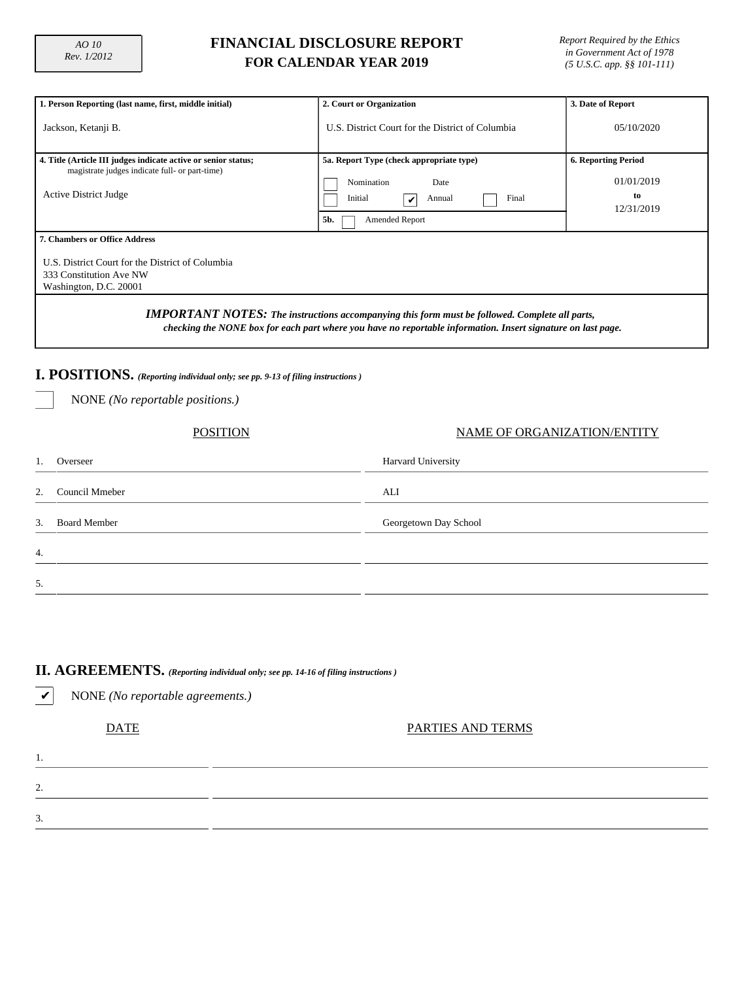## **FINANCIAL DISCLOSURE REPORT FOR CALENDAR YEAR 2019**

*Report Required by the Ethics in Government Act of 1978 (5 U.S.C. app. §§ 101-111)*

| 1. Person Reporting (last name, first, middle initial)                                                                                           | 2. Court or Organization                                                                                                                                                                                              | 3. Date of Report                                            |  |  |  |  |  |  |  |
|--------------------------------------------------------------------------------------------------------------------------------------------------|-----------------------------------------------------------------------------------------------------------------------------------------------------------------------------------------------------------------------|--------------------------------------------------------------|--|--|--|--|--|--|--|
| Jackson, Ketanji B.                                                                                                                              | 05/10/2020                                                                                                                                                                                                            |                                                              |  |  |  |  |  |  |  |
| 4. Title (Article III judges indicate active or senior status;<br>magistrate judges indicate full- or part-time)<br><b>Active District Judge</b> | 5a. Report Type (check appropriate type)<br>Nomination<br>Date<br>Final<br>Initial<br>Annual<br>V<br>5b.<br>Amended Report                                                                                            | <b>6. Reporting Period</b><br>01/01/2019<br>to<br>12/31/2019 |  |  |  |  |  |  |  |
| <b>7. Chambers or Office Address</b><br>U.S. District Court for the District of Columbia<br>333 Constitution Ave NW<br>Washington, D.C. 20001    |                                                                                                                                                                                                                       |                                                              |  |  |  |  |  |  |  |
|                                                                                                                                                  | <b>IMPORTANT NOTES:</b> The instructions accompanying this form must be followed. Complete all parts,<br>checking the NONE box for each part where you have no reportable information. Insert signature on last page. |                                                              |  |  |  |  |  |  |  |
| I. POSITIONS. (Reporting individual only; see pp. 9-13 of filing instructions)<br>NONE (No reportable positions.)                                |                                                                                                                                                                                                                       |                                                              |  |  |  |  |  |  |  |
| NAME OF ORGANIZATION/ENTITY<br>POSITION                                                                                                          |                                                                                                                                                                                                                       |                                                              |  |  |  |  |  |  |  |

| Overseer<br>1.            | Harvard University    |
|---------------------------|-----------------------|
| Council Mmeber<br>2.      | ALI                   |
| <b>Board Member</b><br>3. | Georgetown Day School |
| $\overline{4}$ .          |                       |
| 5.                        |                       |

# **II. AGREEMENTS.** *(Reporting individual only; see pp. 14-16 of filing instructions )*

✔ NONE *(No reportable agreements.)*

1.

2.

3.

DATE PARTIES AND TERMS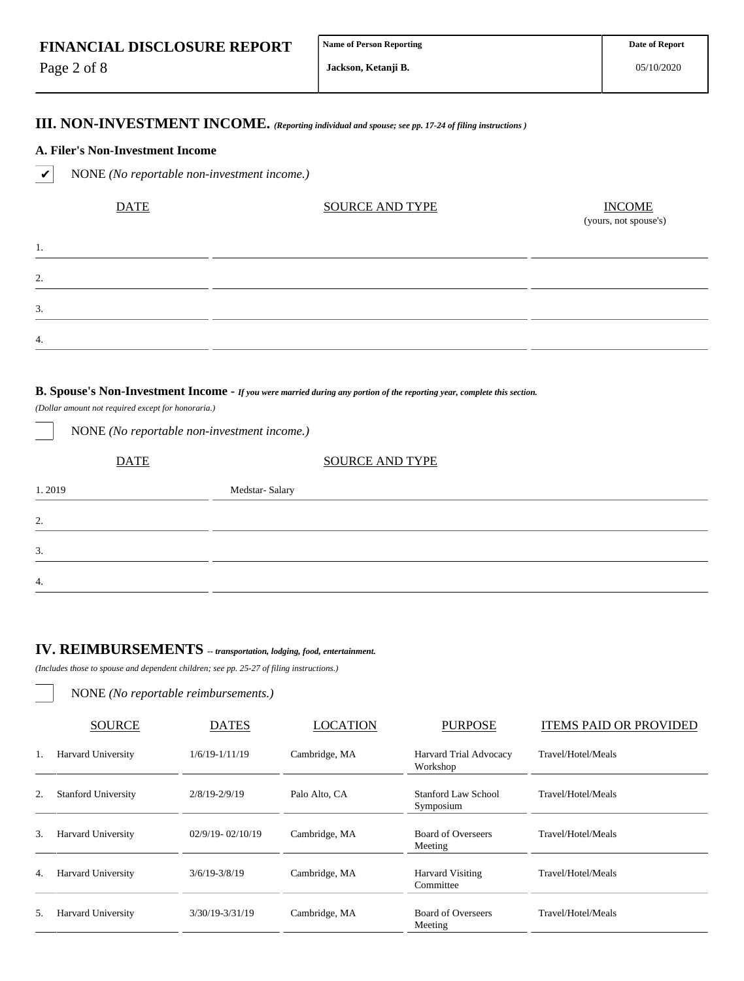Page 2 of 8

1.

2.

3.

4.

**Jackson, Ketanji B.**

### **III. NON-INVESTMENT INCOME.** *(Reporting individual and spouse; see pp. 17-24 of filing instructions )*

#### **A. Filer's Non-Investment Income**

✔ NONE *(No reportable non-investment income.)*

| <b>DATE</b> | <b>SOURCE AND TYPE</b> | <b>INCOME</b><br>(yours, not spouse's) |
|-------------|------------------------|----------------------------------------|
|             |                        |                                        |
|             |                        |                                        |
|             |                        |                                        |
|             |                        |                                        |

#### **B. Spouse's Non-Investment Income -** *If you were married during any portion of the reporting year, complete this section.*

*(Dollar amount not required except for honoraria.)*

| NONE (No reportable non-investment income.) |                        |  |  |  |  |  |  |  |
|---------------------------------------------|------------------------|--|--|--|--|--|--|--|
| <b>DATE</b>                                 | <b>SOURCE AND TYPE</b> |  |  |  |  |  |  |  |
| 1.2019                                      | Medstar-Salary         |  |  |  |  |  |  |  |
| 2.                                          |                        |  |  |  |  |  |  |  |
| 3.                                          |                        |  |  |  |  |  |  |  |
| $\overline{4}$ .                            |                        |  |  |  |  |  |  |  |

# **IV. REIMBURSEMENTS** *-- transportation, lodging, food, entertainment.*

*(Includes those to spouse and dependent children; see pp. 25-27 of filing instructions.)*

NONE *(No reportable reimbursements.)*

|    | <b>SOURCE</b>              | <b>DATES</b>         | <b>LOCATION</b> | <b>PURPOSE</b>                       | <b>ITEMS PAID OR PROVIDED</b> |
|----|----------------------------|----------------------|-----------------|--------------------------------------|-------------------------------|
| 1. | <b>Harvard University</b>  | $1/6/19 - 1/11/19$   | Cambridge, MA   | Harvard Trial Advocacy<br>Workshop   | Travel/Hotel/Meals            |
| 2. | <b>Stanford University</b> | $2/8/19 - 2/9/19$    | Palo Alto, CA   | Stanford Law School<br>Symposium     | Travel/Hotel/Meals            |
| 3. | <b>Harvard University</b>  | $02/9/19 - 02/10/19$ | Cambridge, MA   | <b>Board of Overseers</b><br>Meeting | Travel/Hotel/Meals            |
| 4. | <b>Harvard University</b>  | $3/6/19 - 3/8/19$    | Cambridge, MA   | Harvard Visiting<br>Committee        | Travel/Hotel/Meals            |
| 5. | <b>Harvard University</b>  | $3/30/19 - 3/31/19$  | Cambridge, MA   | <b>Board of Overseers</b><br>Meeting | Travel/Hotel/Meals            |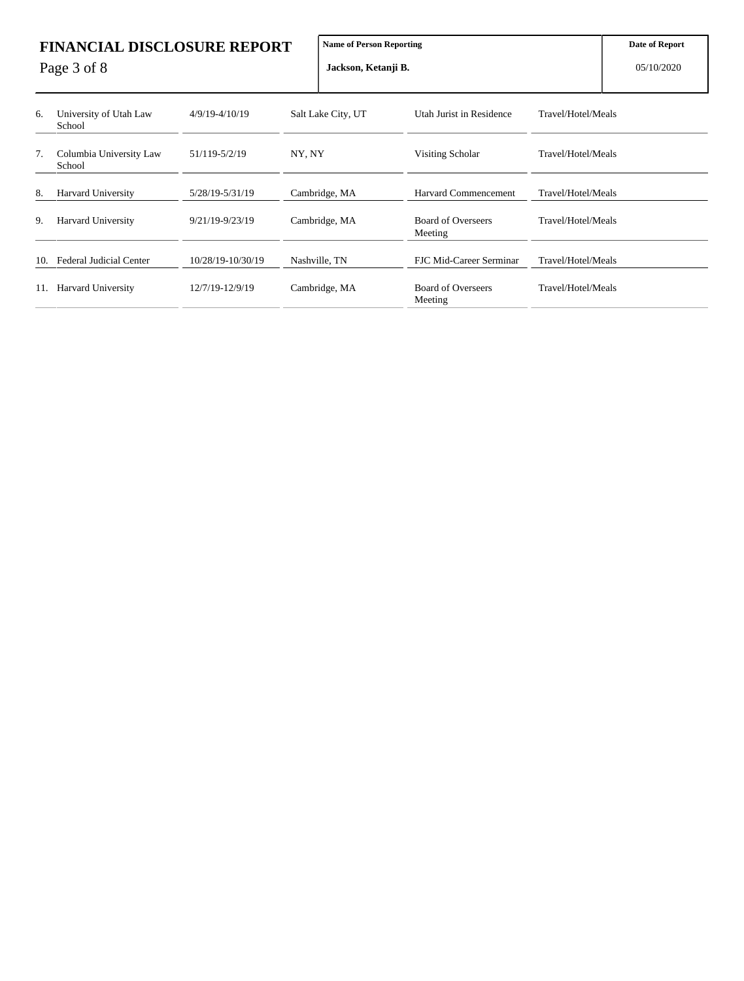| <b>FINANCIAL DISCLOSURE REPORT</b><br>Page 3 of 8 |                                   |                    |        | <b>Name of Person Reporting</b><br>Jackson, Ketanji B. | Date of Report<br>05/10/2020         |                    |  |
|---------------------------------------------------|-----------------------------------|--------------------|--------|--------------------------------------------------------|--------------------------------------|--------------------|--|
| 6.                                                | University of Utah Law<br>School  | $4/9/19 - 4/10/19$ |        | Salt Lake City, UT                                     | Utah Jurist in Residence             | Travel/Hotel/Meals |  |
| 7.                                                | Columbia University Law<br>School | 51/119-5/2/19      | NY, NY |                                                        | Visiting Scholar                     | Travel/Hotel/Meals |  |
| 8.                                                | <b>Harvard University</b>         | 5/28/19-5/31/19    |        | Cambridge, MA                                          | Harvard Commencement                 | Travel/Hotel/Meals |  |
| 9.                                                | <b>Harvard University</b>         | 9/21/19-9/23/19    |        | Cambridge, MA                                          | <b>Board of Overseers</b><br>Meeting | Travel/Hotel/Meals |  |
|                                                   | 10. Federal Judicial Center       | 10/28/19-10/30/19  |        | Nashville, TN                                          | FJC Mid-Career Serminar              | Travel/Hotel/Meals |  |
|                                                   | 11. Harvard University            | 12/7/19-12/9/19    |        | Cambridge, MA                                          | <b>Board of Overseers</b><br>Meeting | Travel/Hotel/Meals |  |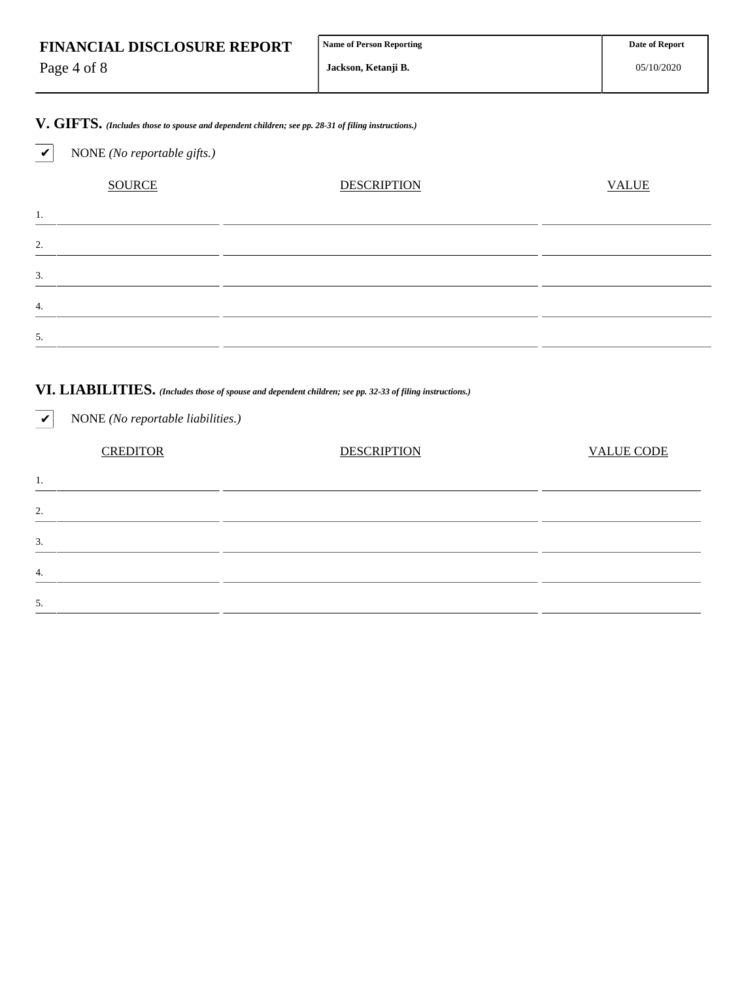| <b>FINANCIAL DISCLOSURE REPORT</b> | Name of Person Reporting | <b>Date of Report</b> |
|------------------------------------|--------------------------|-----------------------|
| Page 4 of 8                        | Jackson, Ketanii B.      | 05/10/2020            |

**V. GIFTS.** *(Includes those to spouse and dependent children; see pp. 28-31 of filing instructions.)*

✔ NONE *(No reportable gifts.)*

|    | <b>SOURCE</b> | <b>DESCRIPTION</b> | <b>VALUE</b> |
|----|---------------|--------------------|--------------|
| ι. |               |                    |              |
| 2. |               |                    |              |
| 3. |               |                    |              |
| 4. |               |                    |              |
| 5. |               |                    |              |
|    |               |                    |              |

### **VI. LIABILITIES.** *(Includes those of spouse and dependent children; see pp. 32-33 of filing instructions.)*

| <b>VALUE CODE</b> |
|-------------------|
|                   |
|                   |
|                   |
|                   |
|                   |
|                   |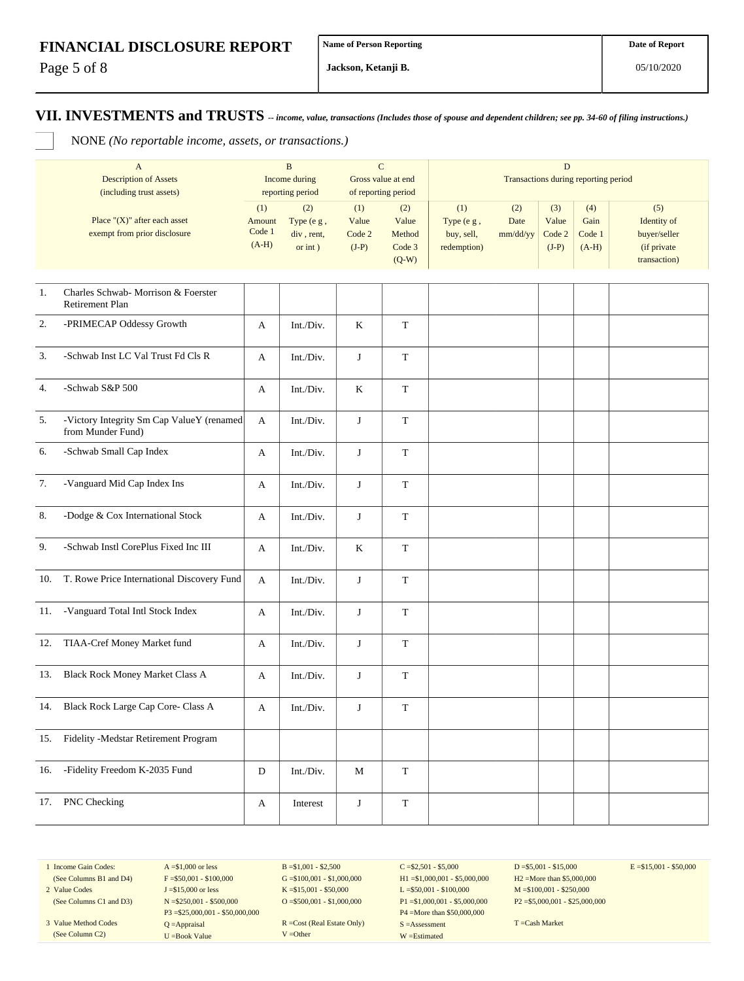Page 5 of 8

**Jackson, Ketanji B.**

**VII. INVESTMENTS and TRUSTS** *-- income, value, transactions (Includes those of spouse and dependent children; see pp. 34-60 of filing instructions.)*

NONE *(No reportable income, assets, or transactions.)*

|      | $\mathbf{A}$<br><b>Description of Assets</b><br>(including trust assets) |                                    | $\overline{B}$<br>Income during<br>reporting period | $\mathbf C$<br>Gross value at end | of reporting period                         | $\mathbf D$<br>Transactions during reporting period |                         |                                   |                                  |                                                                   |
|------|--------------------------------------------------------------------------|------------------------------------|-----------------------------------------------------|-----------------------------------|---------------------------------------------|-----------------------------------------------------|-------------------------|-----------------------------------|----------------------------------|-------------------------------------------------------------------|
|      | Place " $(X)$ " after each asset<br>exempt from prior disclosure         | (1)<br>Amount<br>Code 1<br>$(A-H)$ | (2)<br>Type (e g,<br>div, rent,<br>or $int$ )       | (1)<br>Value<br>Code 2<br>$(J-P)$ | (2)<br>Value<br>Method<br>Code 3<br>$(Q-W)$ | (1)<br>Type (e g,<br>buy, sell,<br>redemption)      | (2)<br>Date<br>mm/dd/yy | (3)<br>Value<br>Code 2<br>$(J-P)$ | (4)<br>Gain<br>Code 1<br>$(A-H)$ | (5)<br>Identity of<br>buyer/seller<br>(if private<br>transaction) |
| $1.$ | Charles Schwab- Morrison & Foerster<br>Retirement Plan                   |                                    |                                                     |                                   |                                             |                                                     |                         |                                   |                                  |                                                                   |
| 2.   | -PRIMECAP Oddessy Growth                                                 | A                                  | Int./Div.                                           | $\bf K$                           | $\mathbf T$                                 |                                                     |                         |                                   |                                  |                                                                   |
| 3.   | -Schwab Inst LC Val Trust Fd Cls R                                       | A                                  | Int./Div.                                           | J                                 | $\mathbf T$                                 |                                                     |                         |                                   |                                  |                                                                   |
| 4.   | -Schwab S&P 500                                                          | A                                  | Int./Div.                                           | K                                 | $\mathbf T$                                 |                                                     |                         |                                   |                                  |                                                                   |
| 5.   | -Victory Integrity Sm Cap ValueY (renamed<br>from Munder Fund)           | A                                  | Int./Div.                                           | $\bf J$                           | $\mathbf T$                                 |                                                     |                         |                                   |                                  |                                                                   |
| 6.   | -Schwab Small Cap Index                                                  | A                                  | Int./Div.                                           | $\bf J$                           | $\mathbf T$                                 |                                                     |                         |                                   |                                  |                                                                   |
| 7.   | -Vanguard Mid Cap Index Ins                                              | A                                  | Int./Div.                                           | J                                 | $\mathbf T$                                 |                                                     |                         |                                   |                                  |                                                                   |
| 8.   | -Dodge & Cox International Stock                                         | A                                  | Int./Div.                                           | J                                 | T                                           |                                                     |                         |                                   |                                  |                                                                   |
| 9.   | -Schwab Instl CorePlus Fixed Inc III                                     | A                                  | Int./Div.                                           | $\bf K$                           | $\mathbf T$                                 |                                                     |                         |                                   |                                  |                                                                   |
| 10.  | T. Rowe Price International Discovery Fund                               | A                                  | Int./Div.                                           | $\bf J$                           | $\mathbf T$                                 |                                                     |                         |                                   |                                  |                                                                   |
| 11.  | -Vanguard Total Intl Stock Index                                         | A                                  | Int./Div.                                           | J                                 | $\mathbf T$                                 |                                                     |                         |                                   |                                  |                                                                   |
| 12.  | TIAA-Cref Money Market fund                                              | A                                  | Int./Div.                                           | J                                 | $\mathbf T$                                 |                                                     |                         |                                   |                                  |                                                                   |
| 13.  | <b>Black Rock Money Market Class A</b>                                   | A                                  | Int./Div.                                           | $\bf J$                           | $\mathbf T$                                 |                                                     |                         |                                   |                                  |                                                                   |
|      | 14. Black Rock Large Cap Core- Class A                                   | A                                  | Int./Div.                                           | $\bf J$                           | $\mathbf T$                                 |                                                     |                         |                                   |                                  |                                                                   |
| 15.  | Fidelity -Medstar Retirement Program                                     |                                    |                                                     |                                   |                                             |                                                     |                         |                                   |                                  |                                                                   |
| 16.  | -Fidelity Freedom K-2035 Fund                                            | ${\rm D}$                          | Int./Div.                                           | М                                 | T                                           |                                                     |                         |                                   |                                  |                                                                   |
| 17.  | PNC Checking                                                             | A                                  | Interest                                            | $\bf J$                           | $\mathbf T$                                 |                                                     |                         |                                   |                                  |                                                                   |

1 Income Gain Codes: (See Columns B1 and D4)

2 Value Codes

(See Columns C1 and D3) 3 Value Method Codes (See Column C2)

 $F = $50,001 - $100,000$ J =\$15,000 or less N =\$250,001 - \$500,000 P3 =\$25,000,001 - \$50,000,000 Q =Appraisal U =Book Value

 $A = $1,000$  or less

 $B = $1,001 - $2,500$  $G = $100,001 - $1,000,000$ K =\$15,001 - \$50,000 O =  $$500,001 - $1,000,000$ 

R =Cost (Real Estate Only) V =Other

 $C = $2,501 - $5,000$ H1 =\$1,000,001 - \$5,000,000 L =\$50,001 - \$100,000 P1 =\$1,000,001 - \$5,000,000 P4 =More than \$50,000,000 S =Assessment W =Estimated

 $D = $5,001 - $15,000$ H2 =More than \$5,000,000 M =\$100,001 - \$250,000 P2 =\$5,000,001 - \$25,000,000  $E = $15,001 - $50,000$ 

T =Cash Market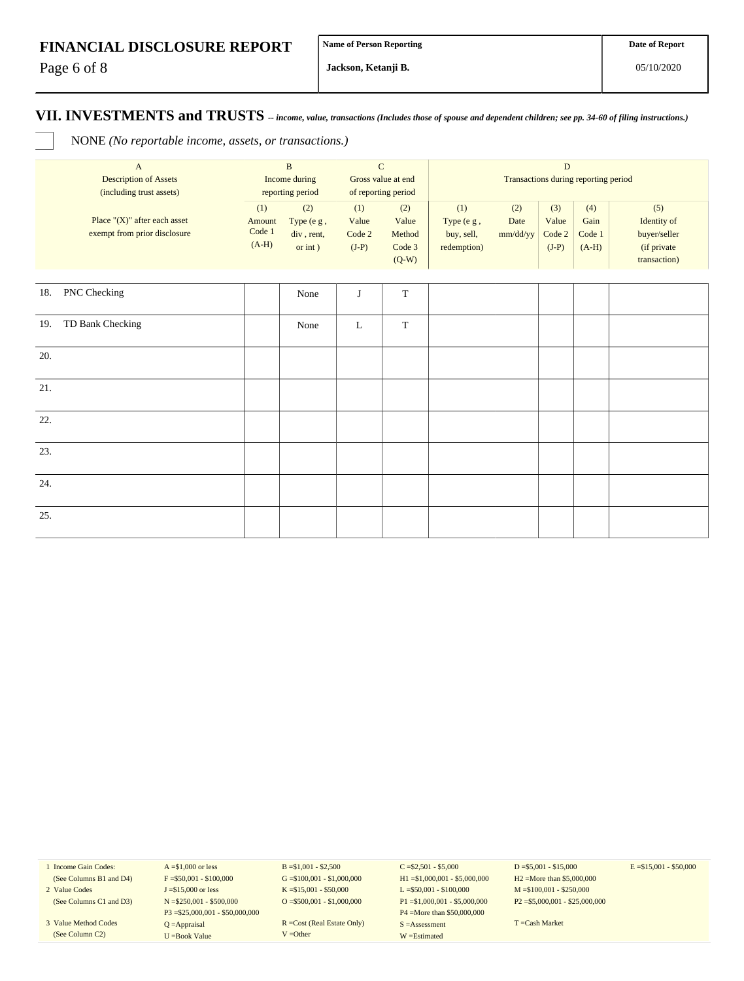Page 6 of 8

**Jackson, Ketanji B.**

#### **VII. INVESTMENTS and TRUSTS** *-- income, value, transactions (Includes those of spouse and dependent children; see pp. 34-60 of filing instructions.)*

NONE *(No reportable income, assets, or transactions.)*

| $\mathbf A$<br><b>Description of Assets</b><br>(including trust assets) |                                                                  | $\, {\bf B}$<br>Income during<br>reporting period |                                               | $\mathbf C$<br>Gross value at end<br>of reporting period |                                             | $\mathbf D$<br>Transactions during reporting period |                         |                                   |                                  |                                                                   |
|-------------------------------------------------------------------------|------------------------------------------------------------------|---------------------------------------------------|-----------------------------------------------|----------------------------------------------------------|---------------------------------------------|-----------------------------------------------------|-------------------------|-----------------------------------|----------------------------------|-------------------------------------------------------------------|
|                                                                         | Place " $(X)$ " after each asset<br>exempt from prior disclosure | (1)<br>Amount<br>Code 1<br>$(A-H)$                | (2)<br>Type (e g,<br>div, rent,<br>or $int$ ) | (1)<br>Value<br>Code 2<br>$(J-P)$                        | (2)<br>Value<br>Method<br>Code 3<br>$(Q-W)$ | (1)<br>Type (e g,<br>buy, sell,<br>redemption)      | (2)<br>Date<br>mm/dd/yy | (3)<br>Value<br>Code 2<br>$(J-P)$ | (4)<br>Gain<br>Code 1<br>$(A-H)$ | (5)<br>Identity of<br>buyer/seller<br>(if private<br>transaction) |
| 18.                                                                     | PNC Checking                                                     |                                                   | None                                          | J                                                        | $\mathbf T$                                 |                                                     |                         |                                   |                                  |                                                                   |
| 19.                                                                     | TD Bank Checking                                                 |                                                   | None                                          | L                                                        | $\mathbf T$                                 |                                                     |                         |                                   |                                  |                                                                   |
| 20.                                                                     |                                                                  |                                                   |                                               |                                                          |                                             |                                                     |                         |                                   |                                  |                                                                   |
| 21.                                                                     |                                                                  |                                                   |                                               |                                                          |                                             |                                                     |                         |                                   |                                  |                                                                   |
| 22.                                                                     |                                                                  |                                                   |                                               |                                                          |                                             |                                                     |                         |                                   |                                  |                                                                   |
| 23.                                                                     |                                                                  |                                                   |                                               |                                                          |                                             |                                                     |                         |                                   |                                  |                                                                   |
| 24.                                                                     |                                                                  |                                                   |                                               |                                                          |                                             |                                                     |                         |                                   |                                  |                                                                   |
| 25.                                                                     |                                                                  |                                                   |                                               |                                                          |                                             |                                                     |                         |                                   |                                  |                                                                   |

1 Income Gain Codes: (See Columns B1 and D4)

2 Value Codes (See Columns C1 and D3)

3 Value Method Codes (See Column C2)

 $A = $1,000$  or less  $F = $50,001 - $100,000$ J =\$15,000 or less N =\$250,001 - \$500,000 P3 =\$25,000,001 - \$50,000,000 Q =Appraisal U =Book Value

 $B = $1,001 - $2,500$  $G = $100,001 - $1,000,000$ K =\$15,001 - \$50,000 O =\$500,001 - \$1,000,000

R =Cost (Real Estate Only) V =Other

 $C = $2,501 - $5,000$ H1 =\$1,000,001 - \$5,000,000 L =\$50,001 - \$100,000 P1 =\$1,000,001 - \$5,000,000 P4 =More than \$50,000,000 S =Assessment W =Estimated

 $D = $5,001 - $15,000$ H2 =More than \$5,000,000 M =\$100,001 - \$250,000 P2 =\$5,000,001 - \$25,000,000  $E = $15,001 - $50,000$ 

T =Cash Market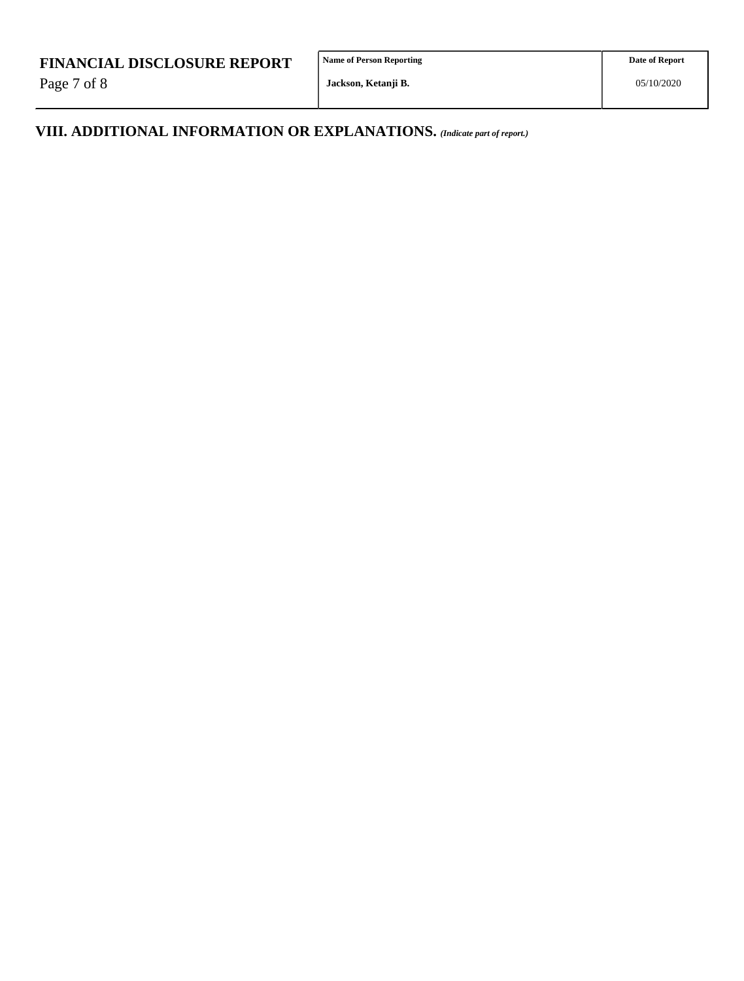Page 7 of 8

**Name of Person Reporting**

**VIII. ADDITIONAL INFORMATION OR EXPLANATIONS.** *(Indicate part of report.)*